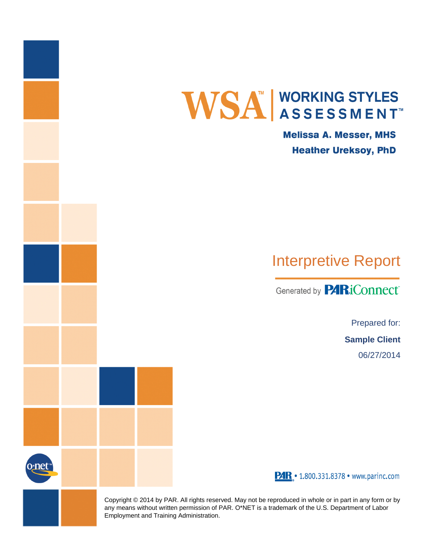

**Melissa A. Messer, MHS Heather Ureksoy, PhD** 

# Interpretive Report

Generated by **PARiConnect** 

Prepared for: **Sample Client** 06/27/2014

PAR . 1.800.331.8378 · www.parinc.com

Copyright © 2014 by PAR. All rights reserved. May not be reproduced in whole or in part in any form or by any means without written permission of PAR. O\*NET is a trademark of the U.S. Department of Labor Employment and Training Administration.

0\*nei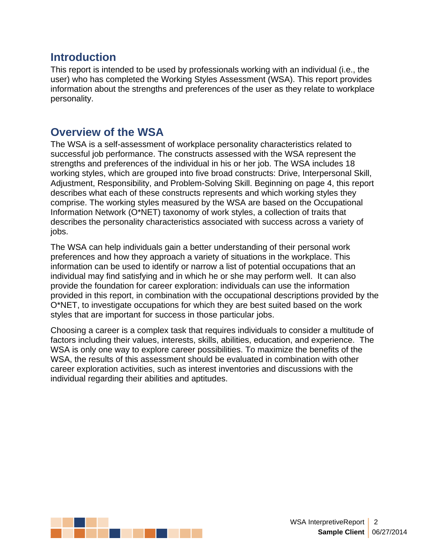#### **Introduction**

This report is intended to be used by professionals working with an individual (i.e., the user) who has completed the Working Styles Assessment (WSA). This report provides information about the strengths and preferences of the user as they relate to workplace personality.

#### **Overview of the WSA**

The WSA is a self-assessment of workplace personality characteristics related to successful job performance. The constructs assessed with the WSA represent the strengths and preferences of the individual in his or her job. The WSA includes 18 working styles, which are grouped into five broad constructs: Drive, Interpersonal Skill, Adjustment, Responsibility, and Problem-Solving Skill. Beginning on page 4, this report describes what each of these constructs represents and which working styles they comprise. The working styles measured by the WSA are based on the Occupational Information Network (O\*NET) taxonomy of work styles, a collection of traits that describes the personality characteristics associated with success across a variety of jobs.

The WSA can help individuals gain a better understanding of their personal work preferences and how they approach a variety of situations in the workplace. This information can be used to identify or narrow a list of potential occupations that an individual may find satisfying and in which he or she may perform well. It can also provide the foundation for career exploration: individuals can use the information provided in this report, in combination with the occupational descriptions provided by the O\*NET, to investigate occupations for which they are best suited based on the work styles that are important for success in those particular jobs.

Choosing a career is a complex task that requires individuals to consider a multitude of factors including their values, interests, skills, abilities, education, and experience. The WSA is only one way to explore career possibilities. To maximize the benefits of the WSA, the results of this assessment should be evaluated in combination with other career exploration activities, such as interest inventories and discussions with the individual regarding their abilities and aptitudes.

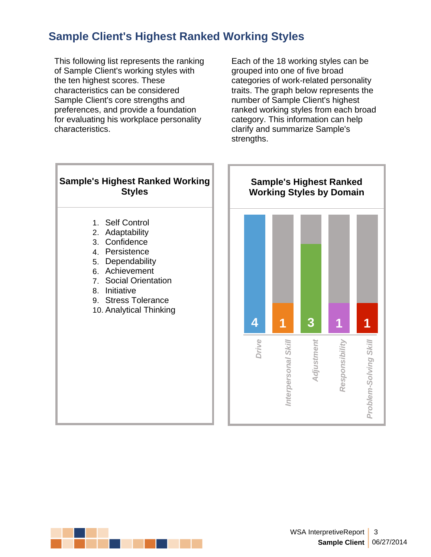# **Sample Client's Highest Ranked Working Styles**

This following list represents the ranking of Sample Client's working styles with the ten highest scores. These characteristics can be considered Sample Client's core strengths and preferences, and provide a foundation for evaluating his workplace personality characteristics.

Each of the 18 working styles can be grouped into one of five broad categories of work-related personality traits. The graph below represents the number of Sample Client's highest ranked working styles from each broad category. This information can help clarify and summarize Sample's strengths.



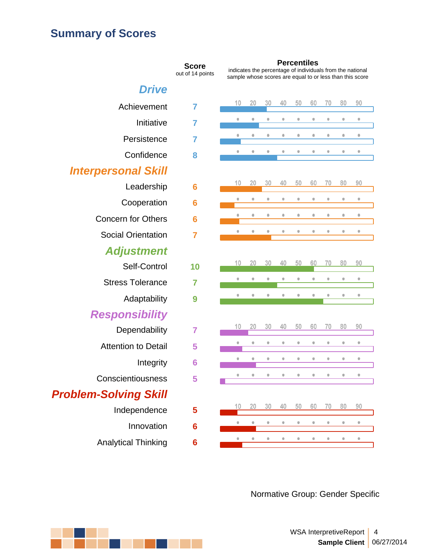# **Summary of Scores**

|                              | <b>Score</b><br>out of 14 points | indicates the percentage<br>sample whose scores are |                       |           | Per       |
|------------------------------|----------------------------------|-----------------------------------------------------|-----------------------|-----------|-----------|
| Drive                        |                                  |                                                     |                       |           |           |
| Achievement                  | 7                                | 10                                                  | 20                    | 30        | 40        |
| Initiative                   | 7                                | $\bullet$                                           | $\color{red} \bullet$ | $\bullet$ | $\bullet$ |
| Persistence                  | 7                                | ۰                                                   | $\bullet$             | ۰         | ۰         |
| Confidence                   | 8                                | $\bullet$                                           | $\bullet$             | $\bullet$ | ۰         |
| <b>Interpersonal Skill</b>   |                                  |                                                     |                       |           |           |
| Leadership                   | 6                                | 10                                                  | 20                    | 30        | 40        |
| Cooperation                  | 6                                | 0                                                   | $\bullet$             | $\bullet$ | $\bullet$ |
| <b>Concern for Others</b>    | 6                                | ۰                                                   | $\color{red} \bullet$ | $\bullet$ | $\bullet$ |
| <b>Social Orientation</b>    | 7                                |                                                     | Ò                     | ۰         |           |
| Adjustment                   |                                  |                                                     |                       |           |           |
| Self-Control                 | 10                               | 10                                                  | 20                    | 30        | 40        |
| <b>Stress Tolerance</b>      | 7                                | $\bullet$                                           | $\bullet$             | $\bullet$ | $\bullet$ |
| Adaptability                 | 9                                | $\bullet$                                           | $\bullet$             | $\bullet$ | $\bullet$ |
| Responsibility               |                                  |                                                     |                       |           |           |
| Dependability                | 7                                | 10                                                  | 20                    | 30        | 40        |
| <b>Attention to Detail</b>   | 5                                | $\bullet$                                           | $\color{red} \bullet$ | $\bullet$ | $\bullet$ |
| Integrity                    | 6                                |                                                     | $\bullet$             | $\bullet$ | $\bullet$ |
| Conscientiousness            | 5                                |                                                     |                       |           |           |
| <b>Problem-Solving Skill</b> |                                  |                                                     |                       |           |           |
| Independence                 | 5                                | 10                                                  | 20                    | 30        | 40        |
| Innovation                   | 6                                |                                                     | $\bullet$             | ۰         |           |
| <b>Analytical Thinking</b>   | 6                                |                                                     | ٥                     | ¢         | ۰         |
|                              |                                  |                                                     |                       |           |           |

**Score**<br> **Percentiles**<br>
out of 14 points<br> **Percentiles**<br> **Percentiles**<br> **Percentiles** sample whose scores are equal to or less than this score

| 10                         | 20                    | 30                      | 40        | 50                      | 60                      | 70        | 80                      | 90        |
|----------------------------|-----------------------|-------------------------|-----------|-------------------------|-------------------------|-----------|-------------------------|-----------|
| $\bullet$                  | $\bullet$             | $\bullet$               | $\bullet$ | $\bullet$               | $\bullet$               | $\bullet$ | $\qquad \qquad \bullet$ | $\bullet$ |
| $\bullet$                  | $\color{red} \bullet$ | $\qquad \qquad \bullet$ | $\bullet$ | $\bullet$               | $\bullet$               | $\bullet$ | $\qquad \qquad \bullet$ | $\bullet$ |
| $\bullet$                  | $\bullet$             | $\bullet$               | $\bullet$ | $\bullet$               | $\bullet$               | $\bullet$ | $\bullet$               | $\bullet$ |
|                            |                       |                         |           |                         |                         |           |                         |           |
| 10                         | 20                    | 30                      | 40        | 50                      | 60                      | 70        | 80                      | 90        |
| $\bullet$                  | $\bullet$             | $\bullet$               | $\bullet$ | $\qquad \qquad \bullet$ | $\bullet$               | $\bullet$ | $\bullet$               | $\bullet$ |
| $\bullet$                  | $\bullet$             | $\bullet$               | $\bullet$ | $\bullet$               | $\bullet$               | $\bullet$ | $\bullet$               | $\bullet$ |
| $\bullet$                  | $\bullet$             | $\bullet$               | $\bullet$ | $\bullet$               | $\bullet$               | $\bullet$ | $\bullet$               | $\bullet$ |
|                            |                       |                         |           |                         |                         |           |                         |           |
| 10                         | 20                    | 30                      | 40        | 50                      | 60                      | 70        | 80                      | 90        |
|                            |                       |                         |           |                         |                         |           |                         |           |
| $\bullet$                  | $\bullet$             | $\bullet$               | $\bullet$ | $\bullet$               | $\bullet$               | $\bullet$ | $\bullet$               | $\bullet$ |
| $\bullet$                  | $\bullet$             | $\bullet$               | $\bullet$ | $\bullet$               | $\bullet$               | $\bullet$ | $\bullet$               | $\bullet$ |
|                            |                       |                         |           |                         |                         |           |                         |           |
| 10                         | 20                    | 30                      | 40        | 50                      | 60                      | 70        | 80                      | 90        |
| $\bullet$                  | $\bullet$             | $\bullet$               | $\bullet$ | $\bullet$               | $\bullet$               | $\bullet$ | $\bullet$               | $\bullet$ |
| $\bullet$                  | $\bullet$             | $\bullet$               | $\bullet$ | $\bullet$               | $\bullet$               | $\bullet$ | $\bullet$               | $\bullet$ |
| $\bullet$                  | $\bullet$             | $\bullet$               | $\bullet$ | $\bullet$               | $\qquad \qquad \bullet$ | $\bullet$ | $\bullet$               | $\bullet$ |
|                            |                       |                         |           |                         |                         |           |                         |           |
| 10                         | 20                    | $30\,$                  | 40        | 50                      | 60                      | 70        | 80                      | 90        |
| ш<br>$\color{red} \bullet$ | $\qquad \qquad \circ$ | $\bullet$               | $\bullet$ | $\bullet$               | $\bullet$               | $\bullet$ | $\qquad \qquad \circ$   | $\bullet$ |

Normative Group: Gender Specific

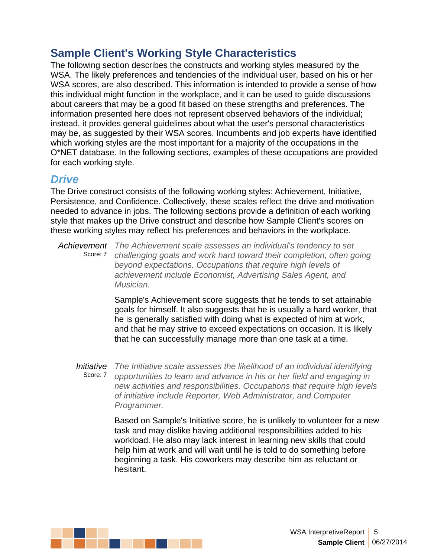The following section describes the constructs and working styles measured by the WSA. The likely preferences and tendencies of the individual user, based on his or her WSA scores, are also described. This information is intended to provide a sense of how this individual might function in the workplace, and it can be used to guide discussions about careers that may be a good fit based on these strengths and preferences. The information presented here does not represent observed behaviors of the individual; instead, it provides general guidelines about what the user's personal characteristics may be, as suggested by their WSA scores. Incumbents and job experts have identified which working styles are the most important for a majority of the occupations in the O\*NET database. In the following sections, examples of these occupations are provided for each working style.

#### *Drive*

The Drive construct consists of the following working styles: Achievement, Initiative, Persistence, and Confidence. Collectively, these scales reflect the drive and motivation needed to advance in jobs. The following sections provide a definition of each working style that makes up the Drive construct and describe how Sample Client's scores on these working styles may reflect his preferences and behaviors in the workplace.

*Achievement The Achievement scale assesses an individual's tendency to set* Score: 7 *challenging goals and work hard toward their completion, often going beyond expectations. Occupations that require high levels of achievement include Economist, Advertising Sales Agent, and Musician.*

> Sample's Achievement score suggests that he tends to set attainable goals for himself. It also suggests that he is usually a hard worker, that he is generally satisfied with doing what is expected of him at work, and that he may strive to exceed expectations on occasion. It is likely that he can successfully manage more than one task at a time.

*Initiative The Initiative scale assesses the likelihood of an individual identifying* Score: 7 *opportunities to learn and advance in his or her field and engaging in new activities and responsibilities. Occupations that require high levels of initiative include Reporter, Web Administrator, and Computer Programmer.*

Based on Sample's Initiative score, he is unlikely to volunteer for a new task and may dislike having additional responsibilities added to his workload. He also may lack interest in learning new skills that could help him at work and will wait until he is told to do something before beginning a task. His coworkers may describe him as reluctant or hesitant.

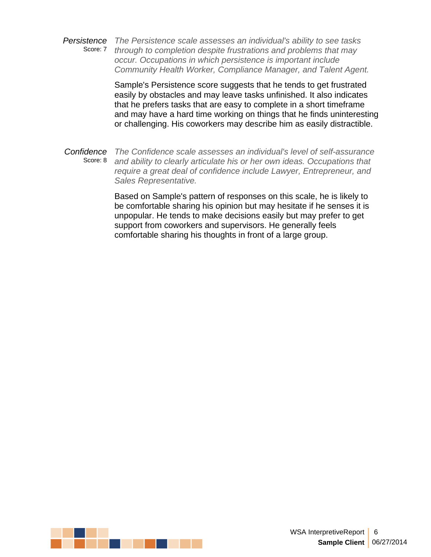*Persistence The Persistence scale assesses an individual's ability to see tasks* Score: 7 *through to completion despite frustrations and problems that may occur. Occupations in which persistence is important include Community Health Worker, Compliance Manager, and Talent Agent.*

> Sample's Persistence score suggests that he tends to get frustrated easily by obstacles and may leave tasks unfinished. It also indicates that he prefers tasks that are easy to complete in a short timeframe and may have a hard time working on things that he finds uninteresting or challenging. His coworkers may describe him as easily distractible.

*Confidence The Confidence scale assesses an individual's level of self-assurance* Score: 8 *and ability to clearly articulate his or her own ideas. Occupations that require a great deal of confidence include Lawyer, Entrepreneur, and Sales Representative.*

> Based on Sample's pattern of responses on this scale, he is likely to be comfortable sharing his opinion but may hesitate if he senses it is unpopular. He tends to make decisions easily but may prefer to get support from coworkers and supervisors. He generally feels comfortable sharing his thoughts in front of a large group.

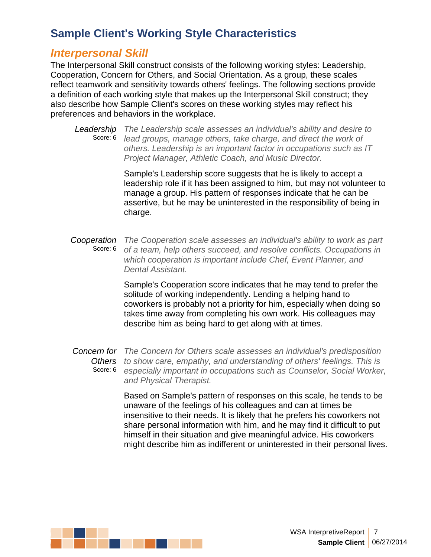#### *Interpersonal Skill*

The Interpersonal Skill construct consists of the following working styles: Leadership, Cooperation, Concern for Others, and Social Orientation. As a group, these scales reflect teamwork and sensitivity towards others' feelings. The following sections provide a definition of each working style that makes up the Interpersonal Skill construct; they also describe how Sample Client's scores on these working styles may reflect his preferences and behaviors in the workplace.

*Leadership The Leadership scale assesses an individual's ability and desire to* Score: 6 *lead groups, manage others, take charge, and direct the work of others. Leadership is an important factor in occupations such as IT Project Manager, Athletic Coach, and Music Director.*

> Sample's Leadership score suggests that he is likely to accept a leadership role if it has been assigned to him, but may not volunteer to manage a group. His pattern of responses indicate that he can be assertive, but he may be uninterested in the responsibility of being in charge.

*Cooperation The Cooperation scale assesses an individual's ability to work as part* Score: 6 *of a team, help others succeed, and resolve conflicts. Occupations in which cooperation isimportant include Chef, Event Planner, and Dental Assistant.*

> Sample's Cooperation score indicates that he may tend to prefer the solitude of working independently. Lending a helping hand to coworkers is probably not a priority for him, especially when doing so takes time away from completing his own work. His colleagues may describe him as being hard to get along with at times.

*Concern for The Concern for Others scale assesses an individual's predisposition Others to show care, empathy, and understanding of others' feelings. This is* Score: 6 *especially important in occupations such as Counselor, Social Worker, and Physical Therapist.*

> Based on Sample's pattern of responses on this scale, he tends to be unaware of the feelings of his colleagues and can at times be insensitive to their needs. It is likely that he prefers his coworkers not share personal information with him, and he may find it difficult to put himself in their situation and give meaningful advice. His coworkers might describe him as indifferent or uninterested in their personal lives.

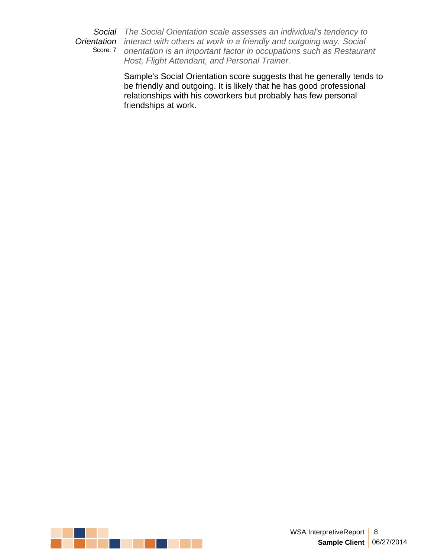*Social The Social Orientation scale assesses an individual's tendency to Orientation interact with others at work in a friendly and outgoing way. Social* Score: 7 *orientation is an important factor in occupations such as Restaurant Host, Flight Attendant, and Personal Trainer.*

> Sample's Social Orientation score suggests that he generally tends to be friendly and outgoing. It is likely that he has good professional relationships with his coworkers but probably has few personal friendships at work.

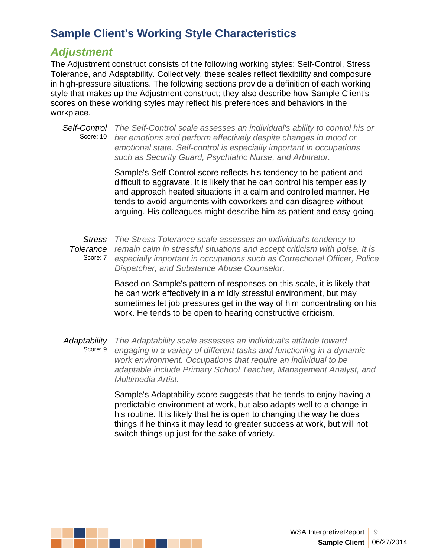#### *Adjustment*

The Adjustment construct consists of the following working styles: Self-Control, Stress Tolerance, and Adaptability. Collectively, these scales reflect flexibility and composure in high-pressure situations. The following sections provide a definition of each working style that makes up the Adjustment construct; they also describe how Sample Client's scores on these working styles may reflect his preferences and behaviors in the workplace.

*Self-Control The Self-Control scale assesses an individual's ability to control his or* Score: 10 *her emotions and perform effectively despite changes in mood or emotional state. Self-control is especially important in occupations such as Security Guard, Psychiatric Nurse, and Arbitrator.*

> Sample's Self-Control score reflects his tendency to be patient and difficult to aggravate. It is likely that he can control his temper easily and approach heated situations in a calm and controlled manner. He tends to avoid arguments with coworkers and can disagree without arguing. His colleagues might describe him as patient and easy-going.

*Stress The Stress Tolerance scale assesses an individual's tendency to Tolerance remain calm in stressful situations and accept criticism with poise. It is* Score: 7 *especially important in occupations such as Correctional Officer, Police Dispatcher, and Substance Abuse Counselor.*

> Based on Sample's pattern of responses on this scale, it is likely that he can work effectively in a mildly stressful environment, but may sometimes let job pressures get in the way of him concentrating on his work. He tends to be open to hearing constructive criticism.

*Adaptability The Adaptability scale assesses an individual's attitude toward* Score: 9 *engaging in a variety of different tasks and functioning in a dynamic work environment. Occupations that require an individual to be adaptable include Primary School Teacher, Management Analyst, and Multimedia Artist.*

> Sample's Adaptability score suggests that he tends to enjoy having a predictable environment at work, but also adapts well to a change in his routine. It is likely that he is open to changing the way he does things if he thinks it may lead to greater success at work, but will not switch things up just for the sake of variety.

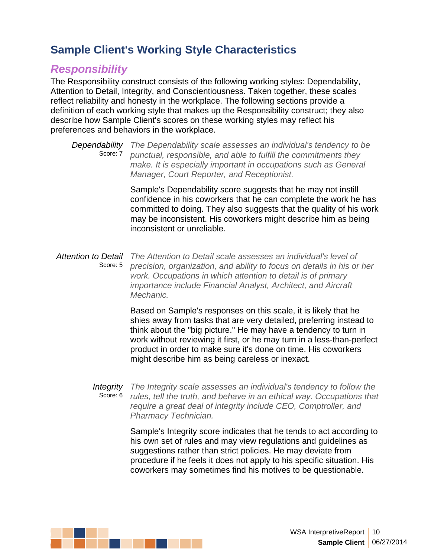### *Responsibility*

The Responsibility construct consists of the following working styles: Dependability, Attention to Detail, Integrity, and Conscientiousness. Taken together, these scales reflect reliability and honesty in the workplace. The following sections provide a definition of each working style that makes up the Responsibility construct; they also describe how Sample Client's scores on these working styles may reflect his preferences and behaviors in the workplace.

*Dependability The Dependability scale assesses an individual's tendency to be* Score: 7 *punctual, responsible, and able to fulfill the commitments they make. It is especially important in occupations such as General Manager, Court Reporter, and Receptionist.*

> Sample's Dependability score suggests that he may not instill confidence in his coworkers that he can complete the work he has committed to doing. They also suggests that the quality of his work may be inconsistent. His coworkers might describe him as being inconsistent or unreliable.

*Attention to Detail The Attention to Detail scale assesses an individual's level of* Score: 5 *precision, organization, and ability to focus on details in his or her work. Occupations in which attention to detail is of primary importance include Financial Analyst, Architect, and Aircraft Mechanic.*

> Based on Sample's responses on this scale, it is likely that he shies away from tasks that are very detailed, preferring instead to think about the "big picture." He may have a tendency to turn in work without reviewing it first, or he may turn in a less-than-perfect product in order to make sure it's done on time. His coworkers might describe him as being careless or inexact.

*Integrity The Integrity scale assesses an individual's tendency to follow the* Score: 6 *rules, tell the truth, and behave in an ethical way. Occupations that require a great deal of integrity include CEO, Comptroller, and Pharmacy Technician.*

Sample's Integrity score indicates that he tends to act according to his own set of rules and may view regulations and guidelines as suggestions rather than strict policies. He may deviate from procedure if he feels it does not apply to his specific situation. His coworkers may sometimes find his motives to be questionable.

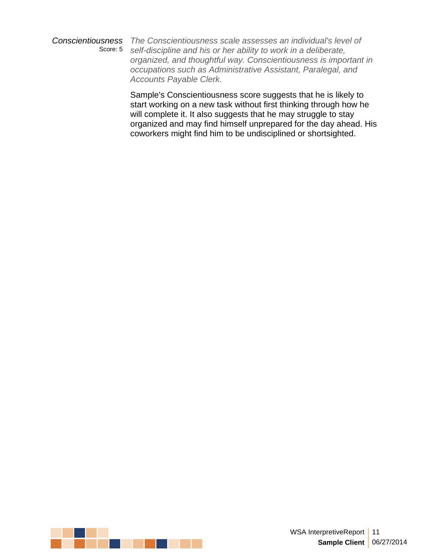*Conscientiousness The Conscientiousness scale assesses an individual's level of* Score: 5 *self-discipline and his or her ability to work in a deliberate, organized, and thoughtful way. Conscientiousness is important in occupations such as Administrative Assistant, Paralegal, and Accounts Payable Clerk.*

> Sample's Conscientiousness score suggests that he is likely to start working on a new task without first thinking through how he will complete it. It also suggests that he may struggle to stay organized and may find himself unprepared for the day ahead. His coworkers might find him to be undisciplined or shortsighted.

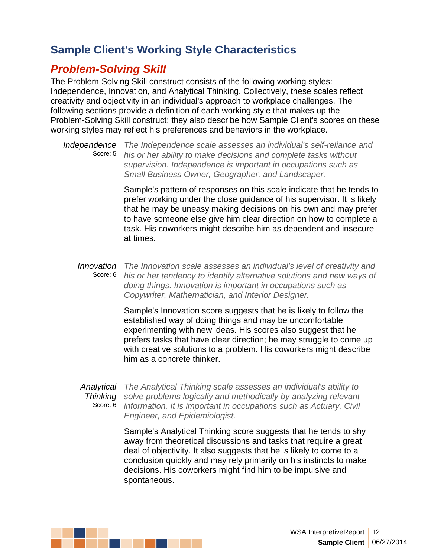# *Problem-Solving Skill*

The Problem-Solving Skill construct consists of the following working styles: Independence, Innovation, and Analytical Thinking. Collectively, these scales reflect creativity and objectivity in an individual's approach to workplace challenges. The following sections provide a definition of each working style that makes up the Problem-Solving Skill construct; they also describe how Sample Client's scores on these working styles may reflect his preferences and behaviors in the workplace.

*Independence The Independence scale assesses an individual's self-reliance and* Score: 5 *his or her ability to make decisions and complete tasks without supervision. Independence is important in occupations such as Small Business Owner, Geographer, and Landscaper.*

> Sample's pattern of responses on this scale indicate that he tends to prefer working under the close guidance of his supervisor. It is likely that he may be uneasy making decisions on his own and may prefer to have someone else give him clear direction on how to complete a task. His coworkers might describe him as dependent and insecure at times.

#### *Innovation The Innovation scale assesses an individual's level of creativity and* Score: 6 *his or her tendency to identify alternative solutions and new ways of doing things. Innovation isimportant in occupations such as Copywriter, Mathematician, and Interior Designer.*

Sample's Innovation score suggests that he is likely to follow the established way of doing things and may be uncomfortable experimenting with new ideas. His scores also suggest that he prefers tasks that have clear direction; he may struggle to come up with creative solutions to a problem. His coworkers might describe him as a concrete thinker.

*Analytical The Analytical Thinking scale assesses an individual's ability to Thinking solve problems logically and methodically by analyzing relevant* Score: 6 *information. It is important in occupations such as Actuary,Civil Engineer, and Epidemiologist.*

> Sample's Analytical Thinking score suggests that he tends to shy away from theoretical discussions and tasks that require a great deal of objectivity. It also suggests that he is likely to come to a conclusion quickly and may rely primarily on his instincts to make decisions. His coworkers might find him to be impulsive and spontaneous.

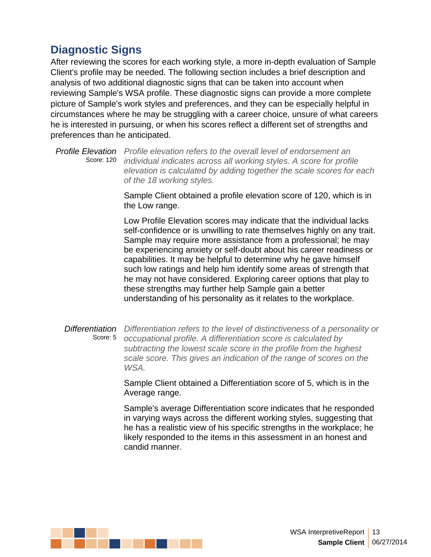# **Diagnostic Signs**

After reviewing the scores for each working style, a more in-depth evaluation of Sample Client's profile may be needed. The following section includes a brief description and analysis of two additional diagnostic signs that can be taken into account when reviewing Sample's WSA profile. These diagnostic signs can provide a more complete picture of Sample's work styles and preferences, and they can be especially helpful in circumstances where he may be struggling with a career choice, unsure of what careers he is interested in pursuing, or when his scores reflect a different set of strengths and preferences than he anticipated.

*Profile Elevation Profile elevation refers to the overall level of endorsement an* Score: 120 *individual indicates across all working styles. A score for profile elevation is calculated by adding together the scale scores for each of the 18 working styles.*

> Sample Client obtained a profile elevation score of 120, which is in the Low range.

Low Profile Elevation scores may indicate that the individual lacks self-confidence or is unwilling to rate themselves highly on any trait. Sample may require more assistance from a professional; he may be experiencing anxiety or self-doubt about his career readiness or capabilities. It may be helpful to determine why he gave himself such low ratings and help him identify some areas of strength that he may not have considered. Exploring career options that play to these strengths may further help Sample gain a better understanding of his personality as it relates to the workplace.

#### *Differentiation Differentiation refers to the level of distinctiveness of a personality or* Score: 5 *occupational profile. A differentiation score iscalculated by subtracting the lowest scale score in the profile from the highest scale score. This gives an indication of the range of scores on the WSA.*

Sample Client obtained a Differentiation score of 5, which is in the Average range.

Sample's average Differentiation score indicates that he responded in varying ways across the different working styles, suggesting that he has a realistic view of his specific strengths in the workplace; he likely responded to the items in this assessment in an honest and candid manner.

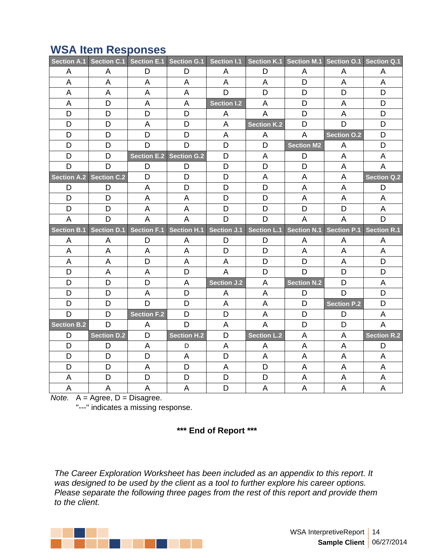|                    | Section A.1 Section C.1 Section E.1 Section G.1 |              |                         | Section I.1        |                    |                    | Section K.1 Section M.1 Section O.1 Section Q.1 |                    |
|--------------------|-------------------------------------------------|--------------|-------------------------|--------------------|--------------------|--------------------|-------------------------------------------------|--------------------|
| A                  | A                                               | D            | D                       | A                  | D                  | A                  | A                                               | A                  |
| $\mathsf{A}$       | A                                               | A            | A                       | $\mathsf{A}$       | A                  | D                  | A                                               | $\mathsf{A}$       |
| A                  | A                                               | A            | A                       | D                  | D                  | D                  | D                                               | D                  |
| A                  | D                                               | A            | $\overline{\mathsf{A}}$ | <b>Section I.2</b> | A                  | D                  | A                                               | D                  |
| D                  | D                                               | D            | D                       | A                  | A                  | D                  | A                                               | D                  |
| D                  | D                                               | A            | D                       | A                  | <b>Section K.2</b> | D                  | D                                               | D                  |
| D                  | D                                               | D            | D                       | A                  | A                  | $\overline{A}$     | <b>Section O.2</b>                              | D                  |
| D                  | D                                               | D            | D                       | D                  | D                  | Section M2         | A                                               | D                  |
| D                  | D                                               |              | Section E.2 Section G.2 | D                  | A                  | D                  | A                                               | A                  |
| D                  | D                                               | D            | D                       | D                  | D                  | D                  | A                                               | A                  |
| Section A.2        | <b>Section C.2</b>                              | D            | D                       | D                  | A                  | $\mathsf A$        | A                                               | <b>Section Q.2</b> |
| D                  | D                                               | A            | D                       | D                  | D                  | A                  | A                                               | D                  |
| D                  | D                                               | A            | $\mathsf A$             | D                  | D                  | A                  | A                                               | A                  |
| D                  | D                                               | A            | A                       | D                  | D                  | D                  | D                                               | A                  |
| A                  | D                                               | A            | A                       | D                  | D                  | A                  | A                                               | D                  |
| <b>Section B.1</b> | Section D.1                                     |              | Section F.1 Section H.1 | Section J.1        |                    |                    | Section L.1 Section N.1 Section P.1             | <b>Section R.1</b> |
| A                  | A                                               | D            | A                       | D                  | D                  | A                  | A                                               | A                  |
| A                  | A                                               | A            | A                       | D                  | D                  | A                  | A                                               | A                  |
| A                  | A                                               | D            | A                       | A                  | D                  | D                  | $\mathsf A$                                     | D                  |
| D                  |                                                 |              |                         |                    |                    |                    |                                                 |                    |
|                    | A                                               | A            | D                       | A                  | D                  | D                  | D                                               | D                  |
| D                  | D                                               | D            | A                       | Section J.2        | A                  | <b>Section N.2</b> | D                                               | A                  |
| D                  | D                                               | A            | D                       | A                  | A                  | D                  | D                                               | D                  |
| D                  | D                                               | D            | D                       | A                  | A                  | D                  | <b>Section P.2</b>                              | D                  |
| D                  | D                                               | Section F.2  | D                       | D                  | A                  | D                  | D                                               | A                  |
| Section B.2        | D                                               | $\mathsf{A}$ | D                       | A                  | A                  | D                  | D                                               | $\mathsf{A}$       |
| D                  | Section D.2                                     | D            | Section H.2             | D                  | <b>Section L.2</b> | A                  | A                                               | <b>Section R.2</b> |
| D                  | D                                               | A            | D                       | A                  | A                  | $\mathsf{A}$       | A                                               | D                  |
| D                  | $\mathsf D$                                     | D            | A                       | D                  | A                  | A                  | A                                               | A                  |
| D                  | D                                               | A            | D                       | A                  | D                  | A                  | A                                               | A                  |
| A                  | $\mathsf D$                                     | D            | D                       | D                  | D                  | $\mathsf A$        | A                                               | A                  |

# **WSA Item Responses**

*Note.* A = Agree, D = Disagree.

"---" indicates a missing response.

**\*\*\* End of Report \*\*\***

*The Career Exploration Worksheet has been included as an appendix to this report. It was* designed to be used by the client as a tool to further explore his career options. *Please separate the following three pages from the rest of this report and provide them to the client.*

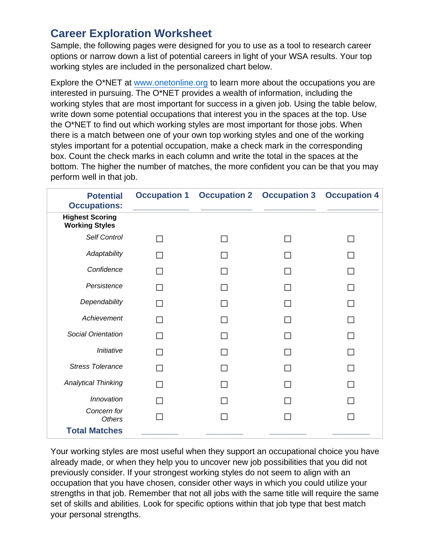## **Career Exploration Worksheet**

Sample, the following pages were designed for you to use as a tool to research career options or narrow down a list of potential careers in light of your WSA results. Your top working styles are included in the personalized chart below.

Explore the O\*NET at [www.onetonline.org](http://www.onetonline.org) to learn more about the occupations you are interested in pursuing. The O\*NET provides a wealth of information, including the working styles that are most important for success in a given job. Using the table below, write down some potential occupations that interest you in the spaces at the top. Use the O\*NET to find out which working styles are most important for those jobs. When there is a match between one of your own top working styles and one of the working styles important for a potential occupation, make a check mark in the corresponding box. Count the check marks in each column and write the total in the spaces at the bottom. The higher the number of matches, the more confident you can be that you may perform well in that job.

| <b>Potential</b><br><b>Occupations:</b>         | <b>Occupation 1</b> | <b>Occupation 2</b> | <b>Occupation 3</b>      | <b>Occupation 4</b> |
|-------------------------------------------------|---------------------|---------------------|--------------------------|---------------------|
| <b>Highest Scoring</b><br><b>Working Styles</b> |                     |                     |                          |                     |
| Self Control                                    | $\Box$              | $\Box$              | $\Box$                   | $\Box$              |
| Adaptability                                    | $\Box$              | $\Box$              | $\Box$                   | $\Box$              |
| Confidence                                      | $\Box$              | $\Box$              | $\Box$                   | $\Box$              |
| Persistence                                     | $\Box$              | $\Box$              | $\Box$                   | $\Box$              |
| Dependability                                   | $\Box$              | $\Box$              | $\Box$                   | $\Box$              |
| Achievement                                     | $\Box$              | $\Box$              | $\Box$                   | $\Box$              |
| Social Orientation                              | П                   | $\Box$              | $\Box$                   | $\Box$              |
| Initiative                                      | $\Box$              | $\Box$              | $\Box$                   | $\Box$              |
| <b>Stress Tolerance</b>                         | $\Box$              | $\Box$              | $\overline{\phantom{a}}$ | $\Box$              |
| <b>Analytical Thinking</b>                      | $\Box$              | $\Box$              | $\Box$                   | $\Box$              |
| Innovation                                      | $\Box$              | $\Box$              | $\Box$                   | $\Box$              |
| Concern for<br>Others                           | $\Box$              | $\Box$              | $\Box$                   | $\Box$              |
| <b>Total Matches</b>                            |                     |                     |                          |                     |

Your working styles are most useful when they support an occupational choice you have already made, or when they help you to uncover new job possibilities that you did not previously consider. If your strongest working styles do not seem to align with an occupation that you have chosen, consider other ways in which you could utilize your strengths in that job. Remember that not all jobs with the same title will require the same set of skills and abilities. Look for specific options within that job type that best match your personal strengths.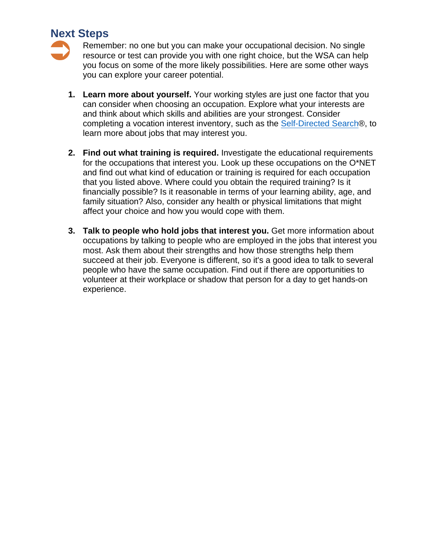#### **Next Steps**



- **1. Learn more about yourself.** Your working styles are just one factor that you can consider when choosing an occupation. Explore what your interests are and think about which skills and abilities are your strongest. Consider completing a vocation interest inventory, such as the [Self-Directed](http://www.self-directed-search.com) Search®, to learn more about jobs that may interest you.
- **2. Find out what training is required.** Investigate the educational requirements for the occupations that interest you. Look up these occupations on the O\*NET and find out what kind of education or training is required for each occupation that you listed above. Where could you obtain the required training? Is it financially possible? Is it reasonable in terms of your learning ability, age, and family situation? Also, consider any health or physical limitations that might affect your choice and how you would cope with them.
- **3. Talk to people who hold jobs that interest you.** Get more information about occupations by talking to people who are employed in the jobs that interest you most. Ask them about their strengths and how those strengths help them succeed at their job. Everyone is different, so it's a good idea to talk to several people who have the same occupation. Find out if there are opportunities to volunteer at their workplace or shadow that person for a day to get hands-on experience.